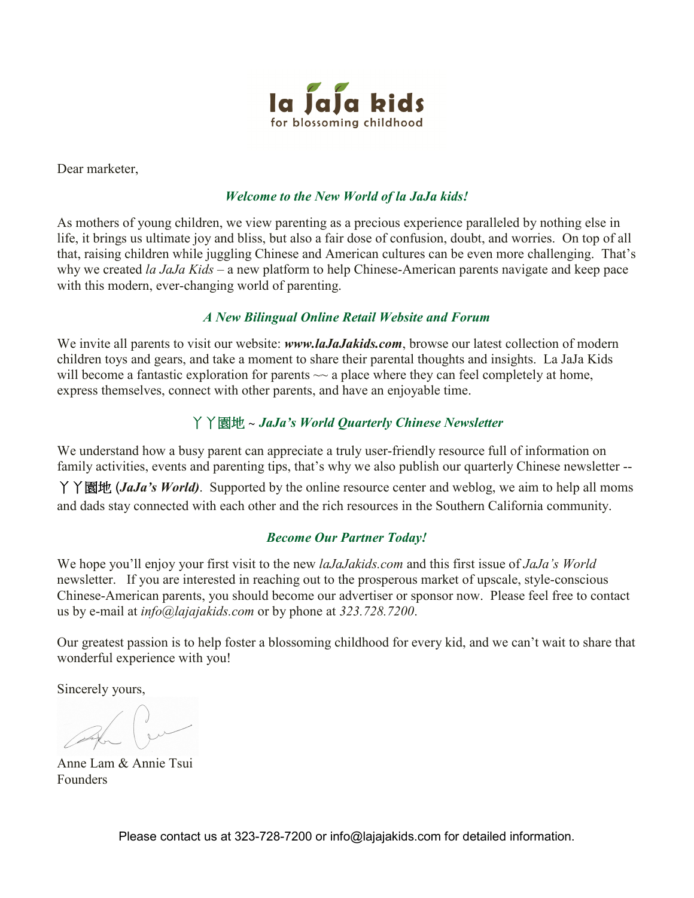

Dear marketer,

#### *Welcome to the New World of la JaJa kids!*

As mothers of young children, we view parenting as a precious experience paralleled by nothing else in life, it brings us ultimate joy and bliss, but also a fair dose of confusion, doubt, and worries. On top of all that, raising children while juggling Chinese and American cultures can be even more challenging. That's why we created *la JaJa Kids* – a new platform to help Chinese-American parents navigate and keep pace with this modern, ever-changing world of parenting.

#### *A New Bilingual Online Retail Website and Forum*

We invite all parents to visit our website: *www.laJaJakids.com*, browse our latest collection of modern children toys and gears, and take a moment to share their parental thoughts and insights. La JaJa Kids will become a fantastic exploration for parents  $\sim$  a place where they can feel completely at home, express themselves, connect with other parents, and have an enjoyable time.

### 丫丫園地 ~ *JaJa's World Quarterly Chinese Newsletter*

We understand how a busy parent can appreciate a truly user-friendly resource full of information on family activities, events and parenting tips, that's why we also publish our quarterly Chinese newsletter --

丫丫園地 (*JaJa's World)*. Supported by the online resource center and weblog, we aim to help all moms and dads stay connected with each other and the rich resources in the Southern California community.

### *Become Our Partner Today!*

We hope you'll enjoy your first visit to the new *laJaJakids.com* and this first issue of *JaJa's World* newsletter. If you are interested in reaching out to the prosperous market of upscale, style-conscious Chinese-American parents, you should become our advertiser or sponsor now. Please feel free to contact us by e-mail at *info@lajajakids.com* or by phone at *323.728.7200*.

Our greatest passion is to help foster a blossoming childhood for every kid, and we can't wait to share that wonderful experience with you!

Sincerely yours,

Anne Lam & Annie Tsui Founders

Please contact us at 323-728-7200 or info@lajajakids.com for detailed information.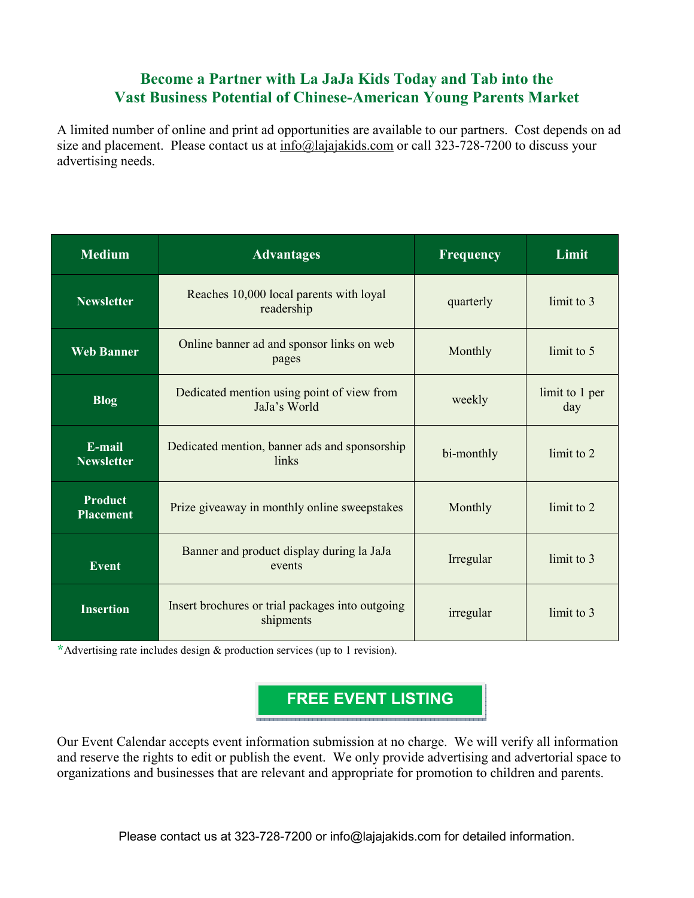### **Become a Partner with La JaJa Kids Today and Tab into the Vast Business Potential of Chinese-American Young Parents Market**

A limited number of online and print ad opportunities are available to our partners. Cost depends on ad size and placement. Please contact us at info@lajajakids.com or call 323-728-7200 to discuss your advertising needs.

| <b>Medium</b>                      | <b>Advantages</b>                                                | <b>Frequency</b> | Limit                 |
|------------------------------------|------------------------------------------------------------------|------------------|-----------------------|
| <b>Newsletter</b>                  | Reaches 10,000 local parents with loyal<br>readership            | quarterly        | limit to 3            |
| <b>Web Banner</b>                  | Online banner ad and sponsor links on web<br>pages               | limit to 5       |                       |
| <b>Blog</b>                        | Dedicated mention using point of view from<br>JaJa's World       | weekly           | limit to 1 per<br>day |
| E-mail<br><b>Newsletter</b>        | Dedicated mention, banner ads and sponsorship<br>links           | bi-monthly       | limit to 2            |
| <b>Product</b><br><b>Placement</b> | Prize give away in monthly online sweepstakes<br>Monthly         |                  | limit to 2            |
| <b>Event</b>                       | Banner and product display during la JaJa<br>Irregular<br>events |                  | limit to 3            |
| <b>Insertion</b>                   | Insert brochures or trial packages into outgoing<br>shipments    |                  | limit to 3            |

**\***Advertising rate includes design & production services (up to 1 revision).



Our Event Calendar accepts event information submission at no charge. We will verify all information and reserve the rights to edit or publish the event. We only provide advertising and advertorial space to organizations and businesses that are relevant and appropriate for promotion to children and parents.

Please contact us at 323-728-7200 or info@lajajakids.com for detailed information.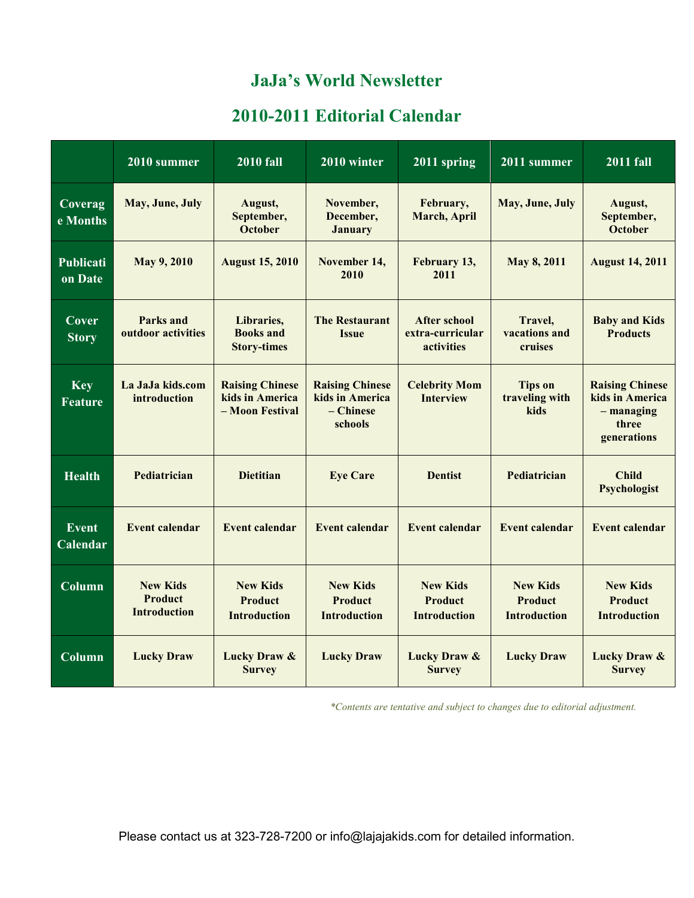## **JaJa's World Newsletter**

## **2010-2011 Editorial Calendar**

|                              | 2010 summer                                              | <b>2010 fall</b>                                             | 2010 winter                                                       | 2011 spring                                              | 2011 summer                                              | <b>2011 fall</b>                                                                  |
|------------------------------|----------------------------------------------------------|--------------------------------------------------------------|-------------------------------------------------------------------|----------------------------------------------------------|----------------------------------------------------------|-----------------------------------------------------------------------------------|
| Coverag<br>e Months          | May, June, July                                          | August,<br>September,<br>October                             | November,<br>December,<br><b>January</b>                          | February,<br>March, April                                | May, June, July                                          | August,<br>September,<br>October                                                  |
| Publicati<br>on Date         | May 9, 2010                                              | <b>August 15, 2010</b>                                       | November 14,<br>2010                                              | February 13,<br>2011                                     | May 8, 2011                                              | <b>August 14, 2011</b>                                                            |
| Cover<br><b>Story</b>        | <b>Parks and</b><br>outdoor activities                   | Libraries,<br><b>Books</b> and<br><b>Story-times</b>         | <b>The Restaurant</b><br><b>Issue</b>                             | <b>After school</b><br>extra-curricular<br>activities    | Travel,<br>vacations and<br>cruises                      | <b>Baby and Kids</b><br><b>Products</b>                                           |
| <b>Key</b><br><b>Feature</b> | La JaJa kids.com<br>introduction                         | <b>Raising Chinese</b><br>kids in America<br>- Moon Festival | <b>Raising Chinese</b><br>kids in America<br>- Chinese<br>schools | <b>Celebrity Mom</b><br><b>Interview</b>                 | <b>Tips on</b><br>traveling with<br>kids                 | <b>Raising Chinese</b><br>kids in America<br>$-$ managing<br>three<br>generations |
| <b>Health</b>                | Pediatrician                                             | <b>Dietitian</b>                                             | <b>Eye Care</b>                                                   | <b>Dentist</b>                                           | Pediatrician                                             | <b>Child</b><br>Psychologist                                                      |
| <b>Event</b><br>Calendar     | <b>Event calendar</b>                                    | <b>Event calendar</b>                                        | <b>Event calendar</b>                                             | <b>Event calendar</b>                                    | <b>Event calendar</b>                                    | <b>Event calendar</b>                                                             |
| Column                       | <b>New Kids</b><br><b>Product</b><br><b>Introduction</b> | <b>New Kids</b><br><b>Product</b><br><b>Introduction</b>     | <b>New Kids</b><br><b>Product</b><br><b>Introduction</b>          | <b>New Kids</b><br><b>Product</b><br><b>Introduction</b> | <b>New Kids</b><br><b>Product</b><br><b>Introduction</b> | <b>New Kids</b><br><b>Product</b><br><b>Introduction</b>                          |
| Column                       | <b>Lucky Draw</b>                                        | Lucky Draw &<br><b>Survey</b>                                | <b>Lucky Draw</b>                                                 | <b>Lucky Draw &amp;</b><br><b>Survey</b>                 | <b>Lucky Draw</b>                                        | <b>Lucky Draw &amp;</b><br><b>Survey</b>                                          |

*\*Contents are tentative and subject to changes due to editorial adjustment.*